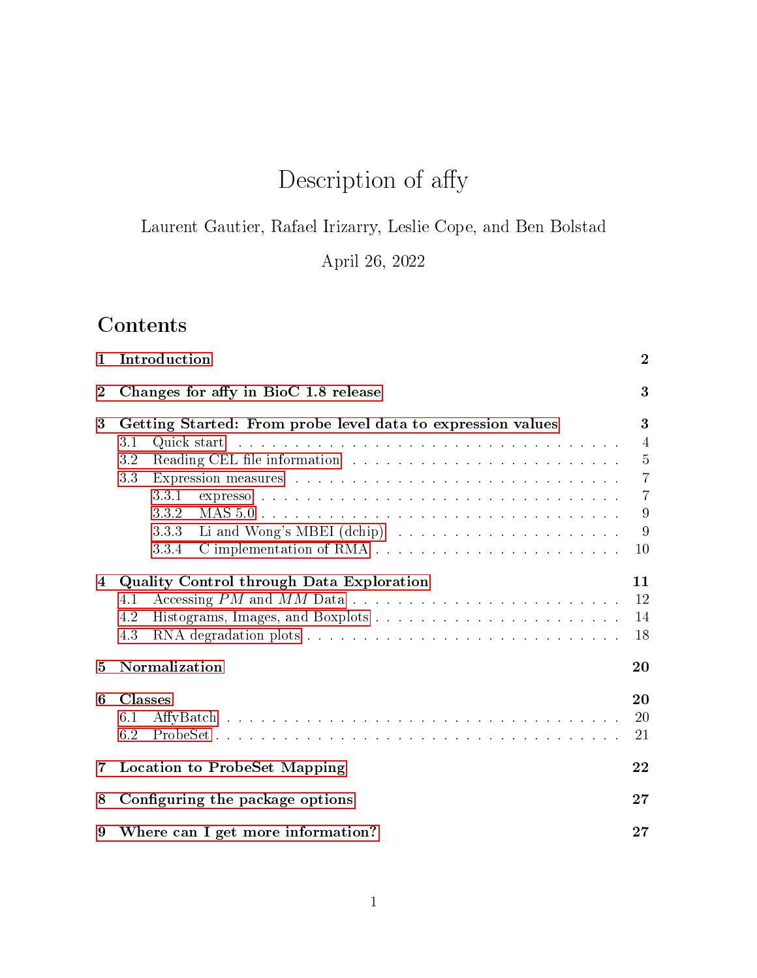# Description of affy

Laurent Gautier, Rafael Irizarry, Leslie Cope, and Ben Bolstad

April 26, 2022

# **Contents**

| 1              | Introduction                                                |                |  |
|----------------|-------------------------------------------------------------|----------------|--|
| $\overline{2}$ | Changes for affy in BioC 1.8 release                        | 3              |  |
| 3              | Getting Started: From probe level data to expression values |                |  |
|                | 3.1                                                         | $\overline{4}$ |  |
|                | 3.2                                                         | $\overline{5}$ |  |
|                | 3.3                                                         | $\overline{7}$ |  |
|                | 3.3.1                                                       | $\overline{7}$ |  |
|                | 3.3.2                                                       | 9              |  |
|                | 3.3.3                                                       | 9              |  |
|                | 3.3.4                                                       | 10             |  |
| 4              | Quality Control through Data Exploration                    | 11             |  |
|                | 4.1                                                         | 12             |  |
|                | 4.2                                                         | 14             |  |
|                | 4.3                                                         | 18             |  |
| 5              | Normalization                                               | 20             |  |
| 6              | <b>Classes</b>                                              | 20             |  |
|                | 6.1                                                         | 20             |  |
|                | 6.2                                                         | 21             |  |
| $7^{\circ}$    | <b>Location to ProbeSet Mapping</b>                         |                |  |
| 8              | Configuring the package options                             |                |  |
| 9              | Where can I get more information?                           | 27             |  |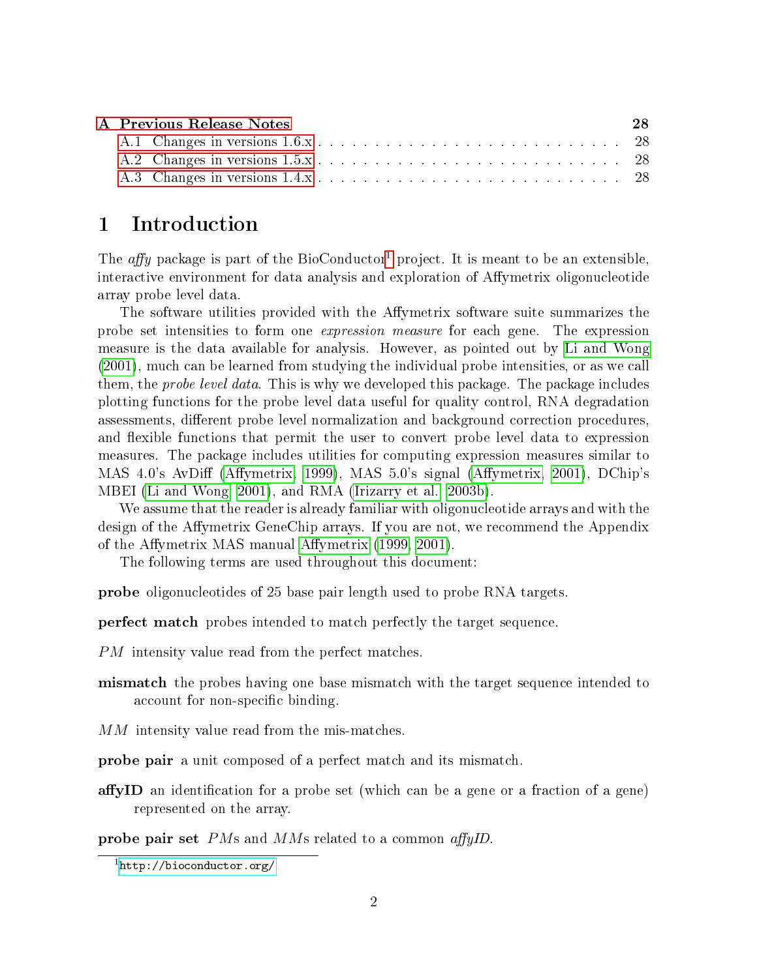| A Previous Release Notes | 28 |
|--------------------------|----|
|                          |    |
|                          |    |
|                          |    |

## <span id="page-1-0"></span>1 Introduction

The *affy* package is part of the BioConductor<sup>[1](#page-1-1)</sup> project. It is meant to be an extensible, interactive environment for data analysis and exploration of Affymetrix oligonucleotide array probe level data.

The software utilities provided with the Affymetrix software suite summarizes the probe set intensities to form one expression measure for each gene. The expression measure is the data available for analysis. However, as pointed out by [Li and Wong](#page-28-0) [\(2001\)](#page-28-0), much can be learned from studying the individual probe intensities, or as we call them, the *probe level data*. This is why we developed this package. The package includes plotting functions for the probe level data useful for quality control, RNA degradation assessments, different probe level normalization and background correction procedures. and flexible functions that permit the user to convert probe level data to expression measures. The package includes utilities for computing expression measures similar to MAS 4.0's AvDiff (Affymetrix, 1999), MAS 5.0's signal (Affymetrix, 2001), DChip's MBEI [\(Li and Wong, 2001\)](#page-28-0), and RMA [\(Irizarry et al., 2003b\)](#page-28-3).

We assume that the reader is already familiar with oligonucleotide arrays and with the design of the Affymetrix GeneChip arrays. If you are not, we recommend the Appendix of the Affymetrix MAS manual Affymetrix [\(1999,](#page-28-1) [2001\)](#page-28-2).

The following terms are used throughout this document:

probe oligonucleotides of 25 base pair length used to probe RNA targets.

perfect match probes intended to match perfectly the target sequence.

PM intensity value read from the perfect matches.

- **mismatch** the probes having one base mismatch with the target sequence intended to account for non-specific binding.
- MM intensity value read from the mis-matches.
- probe pair a unit composed of a perfect match and its mismatch.
- affyID an identification for a probe set (which can be a gene or a fraction of a gene) represented on the array.

probe pair set  $PMs$  and  $MMs$  related to a common affying.

<span id="page-1-1"></span> $<sup>1</sup>$ <http://bioconductor.org/></sup>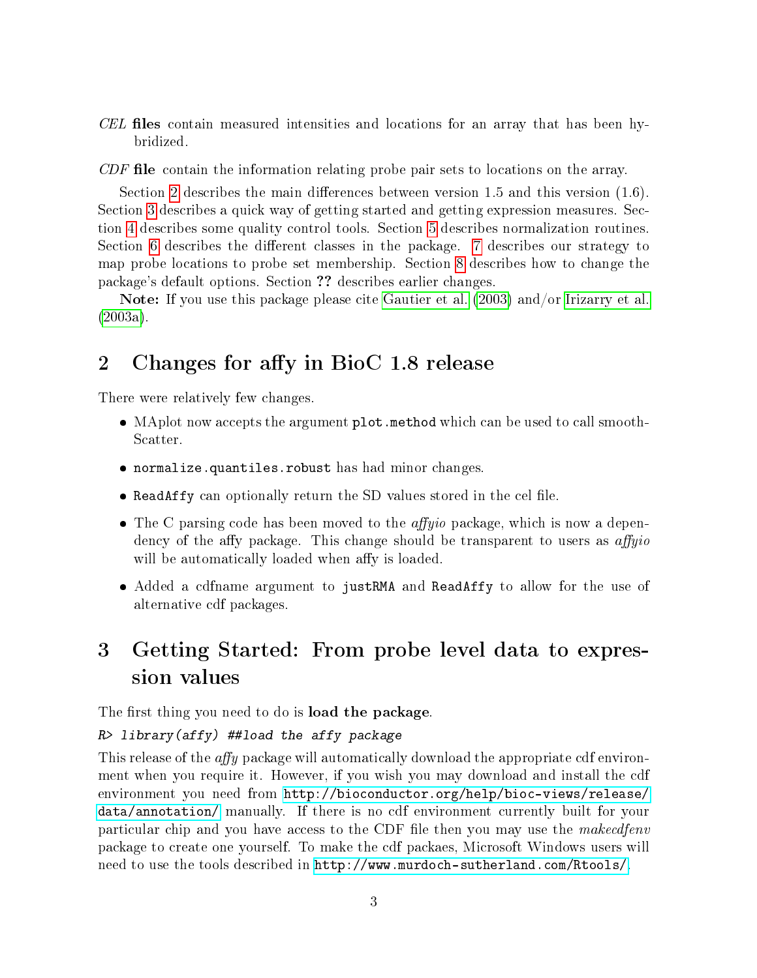$CEL$  files contain measured intensities and locations for an array that has been hybridized.

 $CDF$  file contain the information relating probe pair sets to locations on the array.

Section [2](#page-2-0) describes the main differences between version 1.5 and this version  $(1.6)$ . Section [3](#page-2-1) describes a quick way of getting started and getting expression measures. Section [4](#page-10-0) describes some quality control tools. Section [5](#page-19-0) describes normalization routines. Section [6](#page-19-1) describes the different classes in the package.  $7$  describes our strategy to map probe locations to probe set membership. Section [8](#page-26-0) describes how to change the package's default options. Section ?? describes earlier changes.

Note: If you use this package please cite [Gautier et al.](#page-28-4) [\(2003\)](#page-28-4) and/or [Irizarry et al.](#page-28-5) [\(2003a\)](#page-28-5).

## <span id="page-2-0"></span>2 Changes for affy in BioC 1.8 release

There were relatively few changes.

- MAplot now accepts the argument plot.method which can be used to call smooth-Scatter.
- normalize.quantiles.robust has had minor changes.
- $\bullet$  ReadAffy can optionally return the SD values stored in the cel file.
- The C parsing code has been moved to the *affyio* package, which is now a dependency of the affy package. This change should be transparent to users as  $affyio$ will be automatically loaded when affy is loaded.
- Added a cdfname argument to justRMA and ReadAffy to allow for the use of alternative cdf packages.

## <span id="page-2-1"></span>3 Getting Started: From probe level data to expression values

The first thing you need to do is **load the package**.

#### R> library(affy) ##load the affy package

This release of the affy package will automatically download the appropriate cdf environment when you require it. However, if you wish you may download and install the cdf environment you need from [http://bioconductor.org/help/bioc-views/release/](http://bioconductor.org/help/bioc-views/release/data/annotation/) [data/annotation/](http://bioconductor.org/help/bioc-views/release/data/annotation/) manually. If there is no cdf environment currently built for your particular chip and you have access to the CDF file then you may use the *makecdfenv* package to create one yourself. To make the cdf packaes, Microsoft Windows users will need to use the tools described in [http://www.murdoch-sutherland.com/Rtools/.](http://www.murdoch-sutherland.com/Rtools/)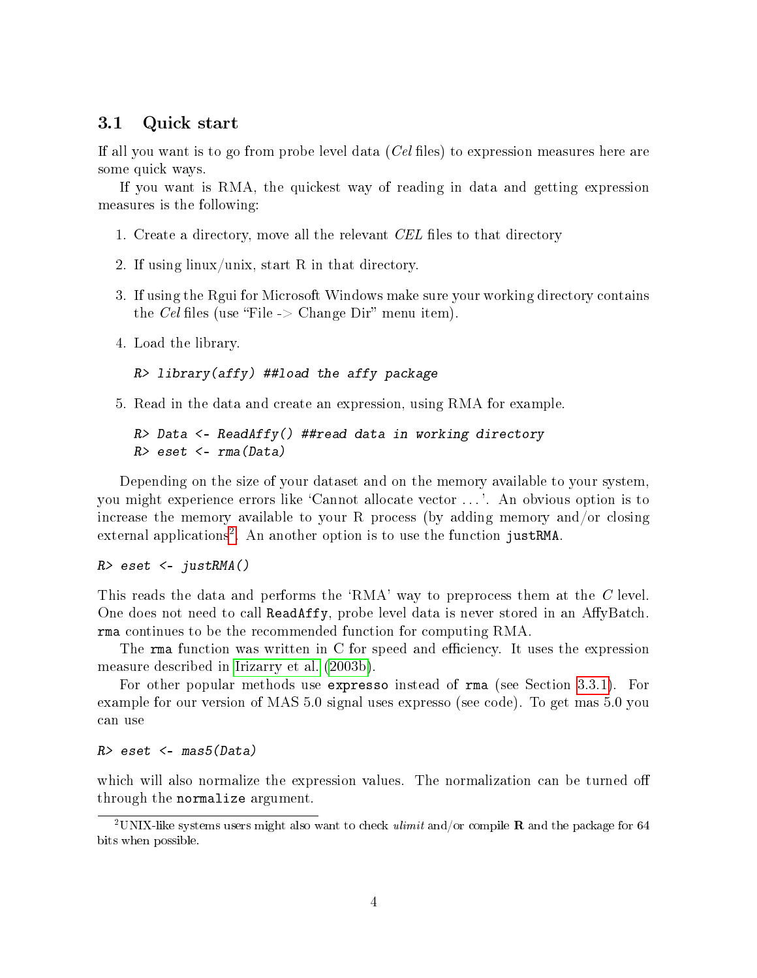#### <span id="page-3-0"></span>3.1 Quick start

If all you want is to go from probe level data  $(Cel$  files) to expression measures here are some quick ways.

If you want is RMA, the quickest way of reading in data and getting expression measures is the following:

- 1. Create a directory, move all the relevant CEL files to that directory
- 2. If using linux/unix, start R in that directory.
- 3. If using the Rgui for Microsoft Windows make sure your working directory contains the Cel files (use "File  $\sim$  Change Dir" menu item).
- 4. Load the library.

```
R> library(affy) ##load the affy package
```
5. Read in the data and create an expression, using RMA for example.

```
R> Data <- ReadAffy() ##read data in working directory
R> eset <- rm(aData)
```
Depending on the size of your dataset and on the memory available to your system, you might experience errors like `Cannot allocate vector . . . '. An obvious option is to increase the memory available to your R process (by adding memory and/or closing external applications<sup>[2](#page-3-1)</sup>. An another option is to use the function justRMA.

#### $R$ > eset <- justRMA()

This reads the data and performs the 'RMA' way to preprocess them at the C level. One does not need to call ReadAffy, probe level data is never stored in an AffyBatch. rma continues to be the recommended function for computing RMA.

The rma function was written in  $C$  for speed and efficiency. It uses the expression measure described in [Irizarry et al.](#page-28-3) [\(2003b\)](#page-28-3).

For other popular methods use expresso instead of rma (see Section [3.3.1\)](#page-6-1). For example for our version of MAS 5.0 signal uses expresso (see code). To get mas 5.0 you can use

#### $R$ > eset <- mas5(Data)

which will also normalize the expression values. The normalization can be turned off through the normalize argument.

<span id="page-3-1"></span><sup>&</sup>lt;sup>2</sup>UNIX-like systems users might also want to check *ulimit* and/or compile **R** and the package for 64 bits when possible.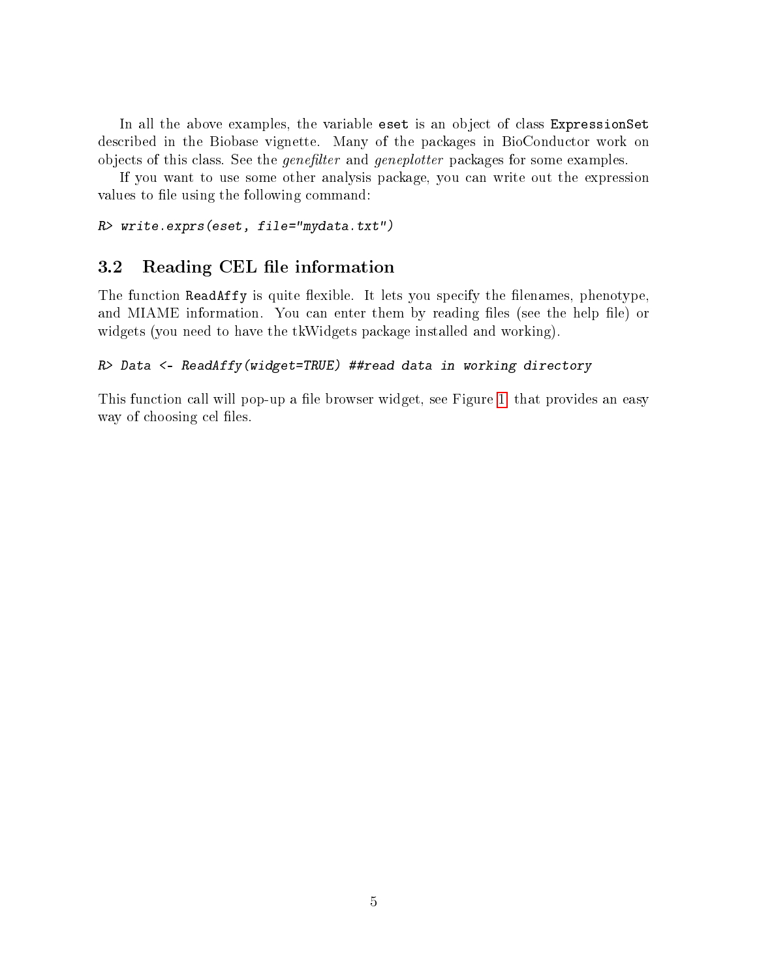In all the above examples, the variable eset is an object of class ExpressionSet described in the Biobase vignette. Many of the packages in BioConductor work on objects of this class. See the *genefilter* and *geneplotter* packages for some examples.

If you want to use some other analysis package, you can write out the expression values to file using the following command:

R> write.exprs(eset, file="mydata.txt")

### <span id="page-4-0"></span>3.2 Reading CEL file information

The function ReadAffy is quite flexible. It lets you specify the filenames, phenotype, and MIAME information. You can enter them by reading files (see the help file) or widgets (you need to have the tkWidgets package installed and working).

#### R> Data <- ReadAffy(widget=TRUE) ##read data in working directory

This function call will pop-up a file browser widget, see Figure [1,](#page-5-0) that provides an easy way of choosing cel files.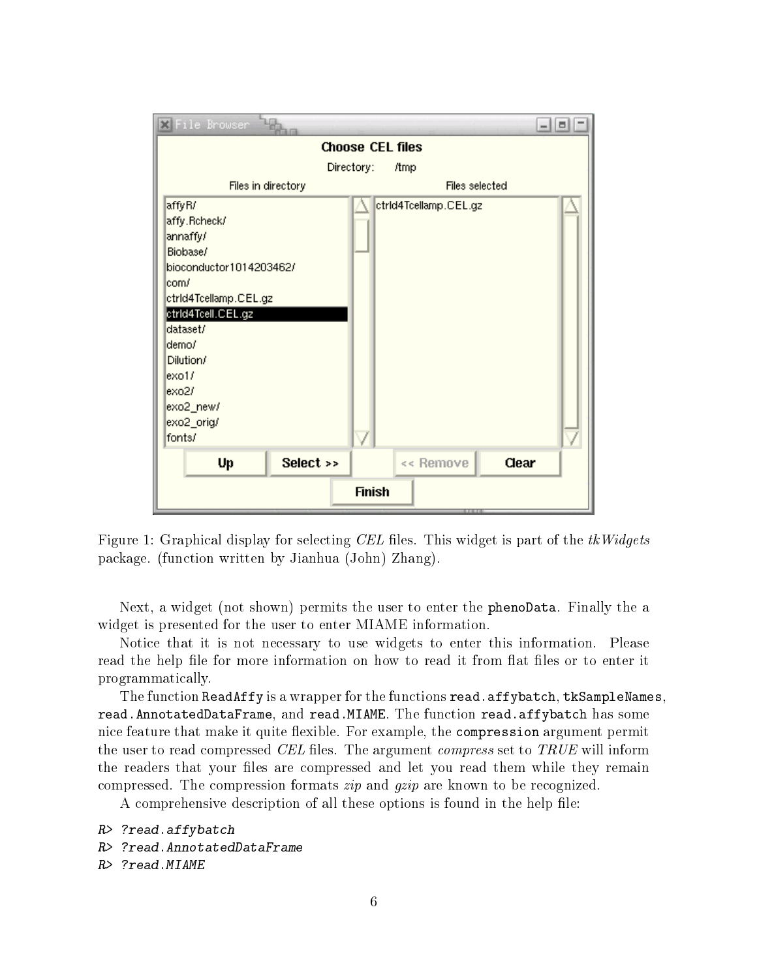

<span id="page-5-0"></span>Figure 1: Graphical display for selecting CEL files. This widget is part of the  $tkWidgets$ package. (function written by Jianhua (John) Zhang).

Next, a widget (not shown) permits the user to enter the phenoData. Finally the a widget is presented for the user to enter MIAME information.

Notice that it is not necessary to use widgets to enter this information. Please read the help file for more information on how to read it from flat files or to enter it programmatically.

The function ReadAffy is a wrapper for the functions read.affybatch, tkSampleNames, read.AnnotatedDataFrame, and read.MIAME. The function read.affybatch has some nice feature that make it quite flexible. For example, the compression argument permit the user to read compressed CEL files. The argument *compress* set to  $TRUE$  will inform the readers that your files are compressed and let you read them while they remain compressed. The compression formats zip and gzip are known to be recognized.

A comprehensive description of all these options is found in the help file:

```
R> ?read.affybatch
R> ?read.AnnotatedDataFrame
R> ?read.MIAME
```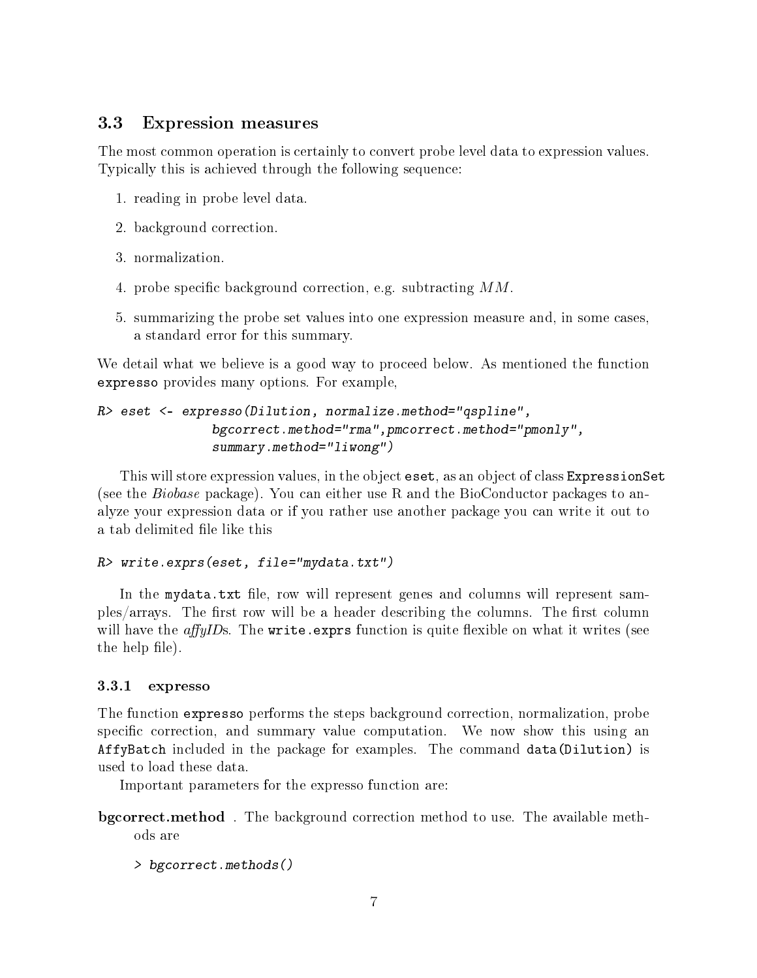### <span id="page-6-0"></span>3.3 Expression measures

The most common operation is certainly to convert probe level data to expression values. Typically this is achieved through the following sequence:

- 1. reading in probe level data.
- 2. background correction.
- 3. normalization.
- 4. probe specific background correction, e.g. subtracting  $MM$ .
- 5. summarizing the probe set values into one expression measure and, in some cases, a standard error for this summary.

We detail what we believe is a good way to proceed below. As mentioned the function expresso provides many options. For example,

```
R> eset <- expresso(Dilution, normalize.method="qspline",
               bgcorrect.method="rma",pmcorrect.method="pmonly",
               summary.method="liwong")
```
This will store expression values, in the object eset, as an object of class ExpressionSet (see the Biobase package). You can either use R and the BioConductor packages to analyze your expression data or if you rather use another package you can write it out to a tab delimited file like this

#### R> write.exprs(eset, file="mydata.txt")

In the mydata.txt file, row will represent genes and columns will represent samples/arrays. The first row will be a header describing the columns. The first column will have the *affyIDs*. The write.exprs function is quite flexible on what it writes (see the help file).

#### <span id="page-6-1"></span>3.3.1 expresso

The function expresso performs the steps background correction, normalization, probe specific correction, and summary value computation. We now show this using an AffyBatch included in the package for examples. The command data(Dilution) is used to load these data.

Important parameters for the expresso function are:

- bgcorrect.method . The background correction method to use. The available methods are
	- > bgcorrect.methods()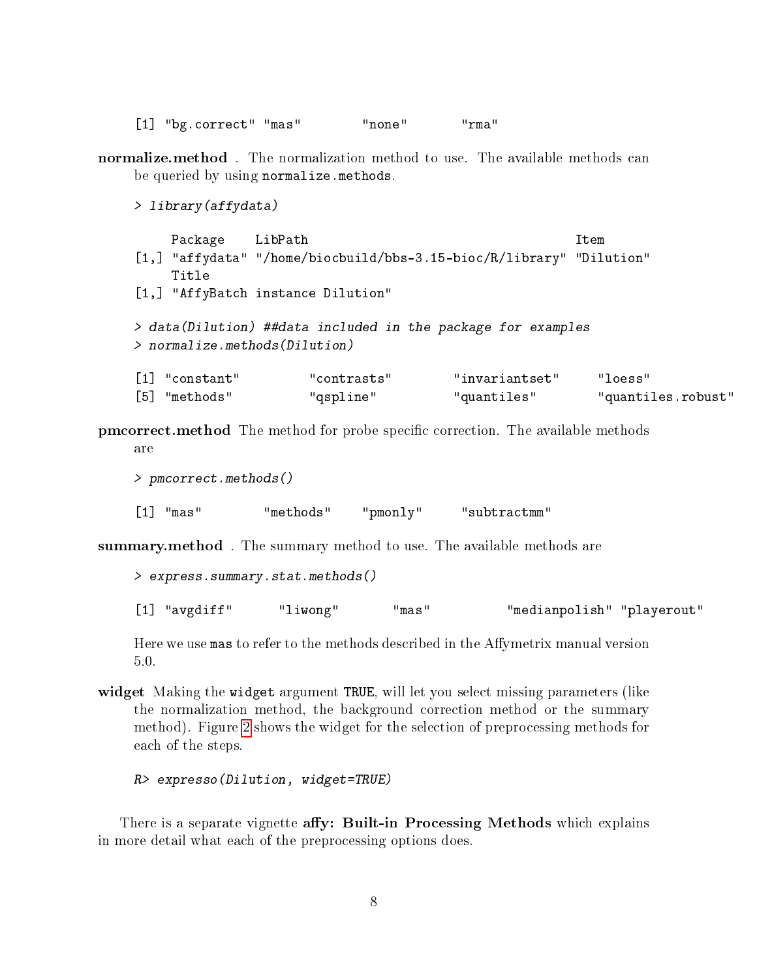[1] "bg.correct" "mas" "none" "rma"

normalize.method. The normalization method to use. The available methods can be queried by using normalize.methods.

> library(affydata)

Package LibPath **Item** Item [1,] "affydata" "/home/biocbuild/bbs-3.15-bioc/R/library" "Dilution" Title [1,] "AffyBatch instance Dilution" > data(Dilution) ##data included in the package for examples > normalize.methods(Dilution) [1] "constant" "contrasts" "invariantset" "loess" [5] "methods" "qspline" "quantiles" "quantiles.robust"

**pmcorrect.method** The method for probe specific correction. The available methods are

> pmcorrect.methods() [1] "mas" "methods" "pmonly" "subtractmm"

summary.method. The summary method to use. The available methods are

> express.summary.stat.methods()

[1] "avgdiff" "liwong" "mas" "medianpolish" "playerout"

Here we use mas to refer to the methods described in the Affymetrix manual version 5.0.

widget Making the widget argument TRUE, will let you select missing parameters (like the normalization method, the background correction method or the summary method). Figure [2](#page-8-2) shows the widget for the selection of preprocessing methods for each of the steps.

R> expresso(Dilution, widget=TRUE)

There is a separate vignette affy: Built-in Processing Methods which explains in more detail what each of the preprocessing options does.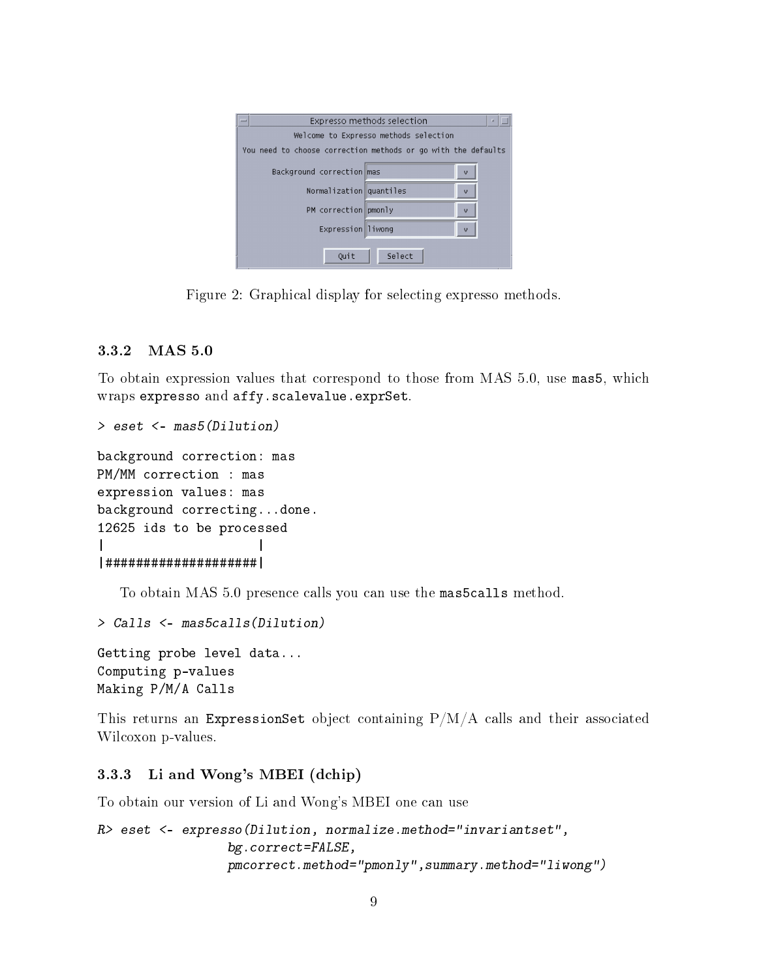|                                                               | Expresso methods selection<br>a |  |  |  |
|---------------------------------------------------------------|---------------------------------|--|--|--|
| Welcome to Expresso methods selection                         |                                 |  |  |  |
| You need to choose correction methods or go with the defaults |                                 |  |  |  |
| Background correction mas                                     | v                               |  |  |  |
|                                                               | Normalization quantiles<br>ω    |  |  |  |
| PM correction pmonly                                          | v                               |  |  |  |
|                                                               | Expression liwong<br>v          |  |  |  |
|                                                               |                                 |  |  |  |
| Ouit                                                          | Select                          |  |  |  |

<span id="page-8-2"></span>Figure 2: Graphical display for selecting expresso methods.

#### <span id="page-8-0"></span>3.3.2 MAS 5.0

To obtain expression values that correspond to those from MAS 5.0, use mas5, which wraps expresso and affy.scalevalue.exprSet.

```
> eset <- mas5(Dilution)
```
background correction: mas PM/MM correction : mas expression values: mas background correcting...done. 12625 ids to be processed | | |####################|

To obtain MAS 5.0 presence calls you can use the mas5calls method.

```
> Calls <- mas5calls(Dilution)
```
Getting probe level data... Computing p-values Making P/M/A Calls

This returns an ExpressionSet object containing  $P/M/A$  calls and their associated Wilcoxon p-values.

### <span id="page-8-1"></span>3.3.3 Li and Wong's MBEI (dchip)

To obtain our version of Li and Wong's MBEI one can use

```
R> eset <- expresso(Dilution, normalize.method="invariantset",
                 bg.correct=FALSE,
                 pmcorrect.method="pmonly",summary.method="liwong")
```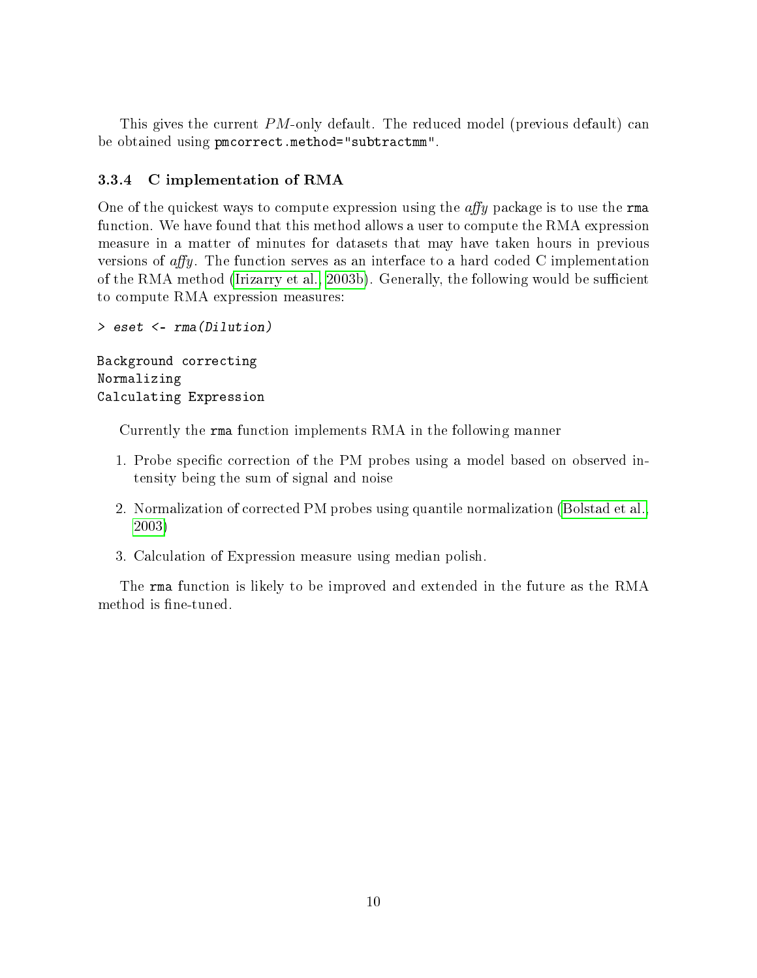This gives the current PM-only default. The reduced model (previous default) can be obtained using pmcorrect.method="subtractmm".

### <span id="page-9-0"></span>3.3.4 C implementation of RMA

One of the quickest ways to compute expression using the  $affy$  package is to use the rma function. We have found that this method allows a user to compute the RMA expression measure in a matter of minutes for datasets that may have taken hours in previous versions of  $affy$ . The function serves as an interface to a hard coded C implementation of the RMA method [\(Irizarry et al., 2003b\)](#page-28-3). Generally, the following would be sufficient to compute RMA expression measures:

```
> eset <- rma(Dilution)
Background correcting
Normalizing
Calculating Expression
```
Currently the rma function implements RMA in the following manner

- 1. Probe specific correction of the PM probes using a model based on observed intensity being the sum of signal and noise
- 2. Normalization of corrected PM probes using quantile normalization [\(Bolstad et al.,](#page-28-6) [2003\)](#page-28-6)
- 3. Calculation of Expression measure using median polish.

The rma function is likely to be improved and extended in the future as the RMA method is fine-tuned.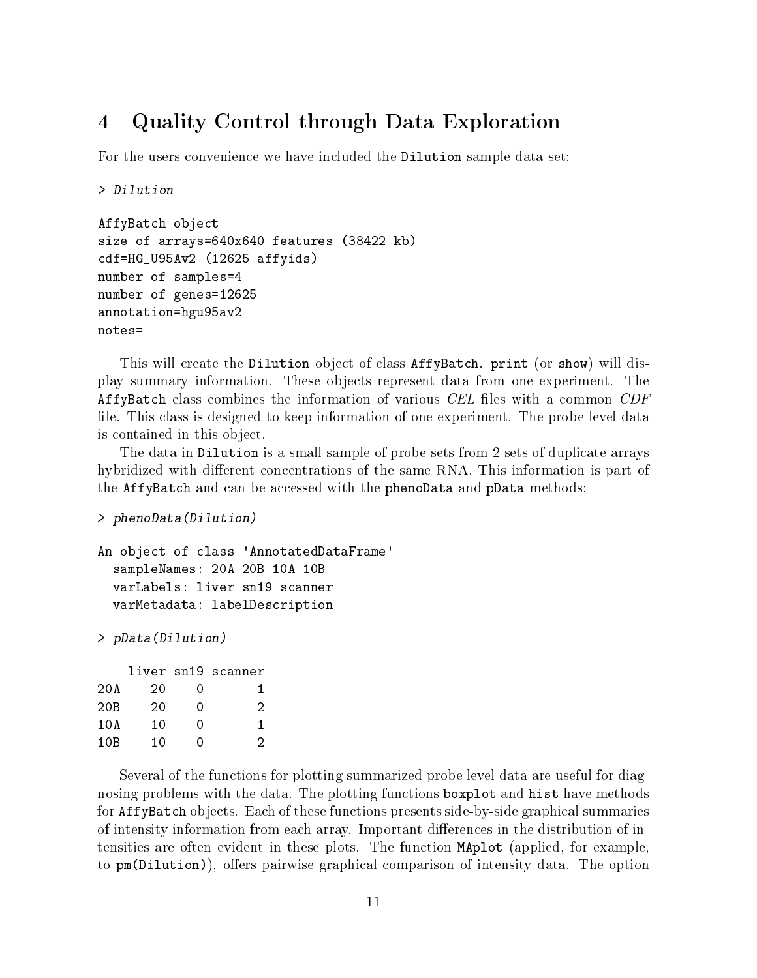## <span id="page-10-0"></span>4 Quality Control through Data Exploration

For the users convenience we have included the Dilution sample data set:

```
> Dilution
```

```
AffyBatch object
size of arrays=640x640 features (38422 kb)
cdf=HG_U95Av2 (12625 affyids)
number of samples=4
number of genes=12625
annotation=hgu95av2
notes=
```
This will create the Dilution object of class AffyBatch. print (or show) will display summary information. These objects represent data from one experiment. The AffyBatch class combines the information of various CEL files with a common CDF file. This class is designed to keep information of one experiment. The probe level data is contained in this object.

The data in Dilution is a small sample of probe sets from 2 sets of duplicate arrays hybridized with different concentrations of the same RNA. This information is part of the AffyBatch and can be accessed with the phenoData and pData methods:

```
> phenoData(Dilution)
```

```
An object of class 'AnnotatedDataFrame'
  sampleNames: 20A 20B 10A 10B
  varLabels: liver sn19 scanner
  varMetadata: labelDescription
```
> pData(Dilution)

|     |    |   | liver sn19 scanner |
|-----|----|---|--------------------|
| 20A | 20 | Ω | 1                  |
| 20B | 20 | Λ | 2                  |
| 10A | 10 | Λ | 1                  |
| 10B | 10 | 0 | 2                  |

Several of the functions for plotting summarized probe level data are useful for diagnosing problems with the data. The plotting functions boxplot and hist have methods for AffyBatch objects. Each of these functions presents side-by-side graphical summaries of intensity information from each array. Important differences in the distribution of intensities are often evident in these plots. The function MAplot (applied, for example, to pm(Dilution)), offers pairwise graphical comparison of intensity data. The option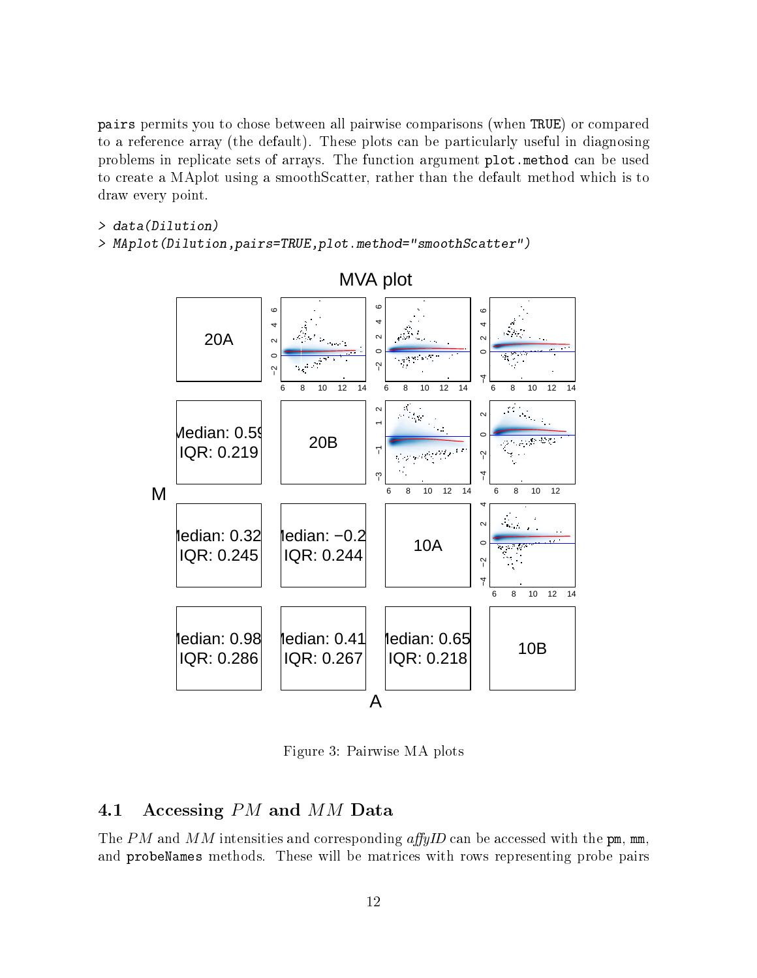pairs permits you to chose between all pairwise comparisons (when TRUE) or compared to a reference array (the default). These plots can be particularly useful in diagnosing problems in replicate sets of arrays. The function argument plot.method can be used to create a MAplot using a smoothScatter, rather than the default method which is to draw every point.

```
> data(Dilution)
```
> MAplot(Dilution,pairs=TRUE,plot.method="smoothScatter")



### MVA plot

Figure 3: Pairwise MA plots

### <span id="page-11-0"></span>4.1 Accessing PM and MM Data

The PM and MM intensities and corresponding  $affyID$  can be accessed with the pm, mm, and probeNames methods. These will be matrices with rows representing probe pairs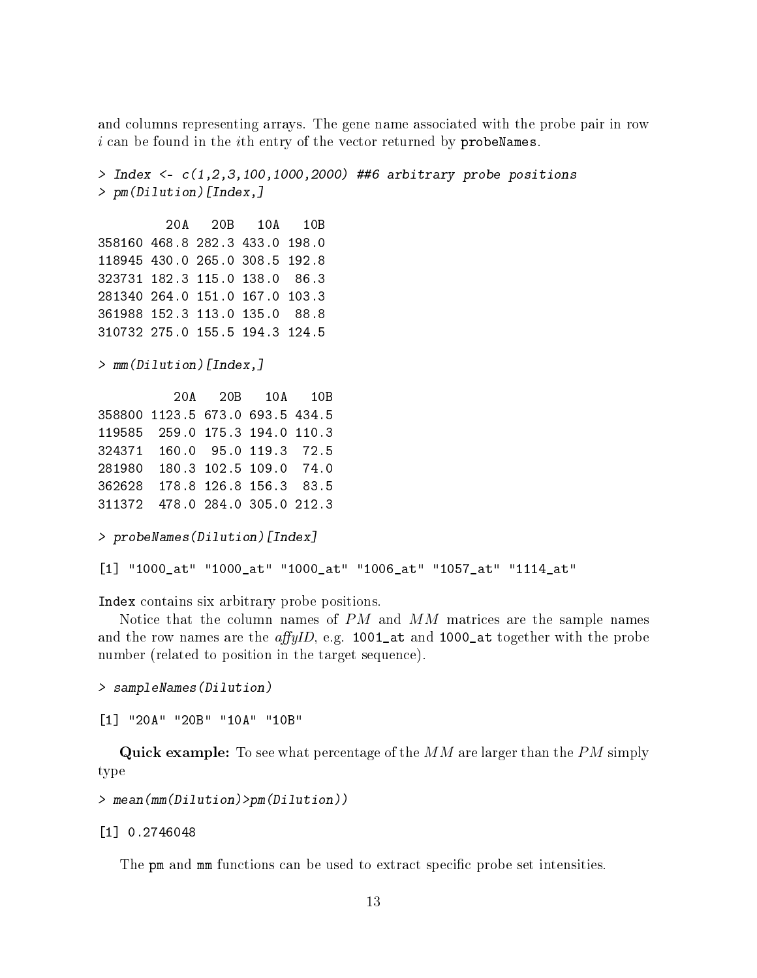and columns representing arrays. The gene name associated with the probe pair in row  $i$  can be found in the *i*th entry of the vector returned by probeNames.

```
> Index \leq c(1,2,3,100,1000,2000) ##6 arbitrary probe positions
> pm(Dilution)[Index,]
        20A 20B 10A 10B
358160 468.8 282.3 433.0 198.0
118945 430.0 265.0 308.5 192.8
323731 182.3 115.0 138.0 86.3
281340 264.0 151.0 167.0 103.3
361988 152.3 113.0 135.0 88.8
310732 275.0 155.5 194.3 124.5
> mm(Dilution)[Index,]
         20A 20B 10A 10B
358800 1123.5 673.0 693.5 434.5
119585 259.0 175.3 194.0 110.3
324371 160.0 95.0 119.3 72.5
281980 180.3 102.5 109.0 74.0
362628 178.8 126.8 156.3 83.5
311372 478.0 284.0 305.0 212.3
> probeNames(Dilution)[Index]
[1] "1000_at" "1000_at" "1000_at" "1006_at" "1057_at" "1114_at"
```
Index contains six arbitrary probe positions.

Notice that the column names of  $PM$  and  $MM$  matrices are the sample names and the row names are the *affyID*, e.g. 1001\_at and 1000\_at together with the probe number (related to position in the target sequence).

> sampleNames(Dilution)

[1] "20A" "20B" "10A" "10B"

**Quick example:** To see what percentage of the  $MM$  are larger than the  $PM$  simply type

```
> mean(mm(Dilution)>pm(Dilution))
```
[1] 0.2746048

The pm and mm functions can be used to extract specific probe set intensities.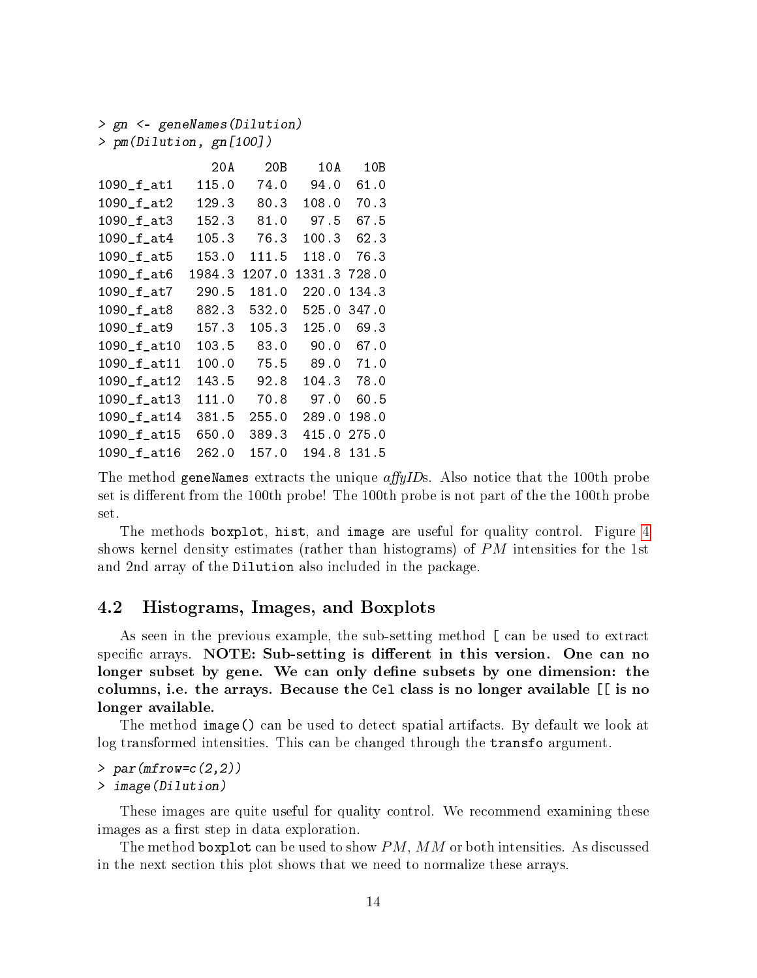```
> gn <- geneNames(Dilution)
```
> pm(Dilution, gn[100])

|              | 20A    | 20B    | 10A    | 10B   |
|--------------|--------|--------|--------|-------|
| $1090_f_at1$ | 115.0  | 74.0   | 94.0   | 61.0  |
| $1090_f_at2$ | 129.3  | 80.3   | 108.0  | 70.3  |
| 1090_f_at3   | 152.3  | 81.0   | 97.5   | 67.5  |
| 1090_f_at4   | 105.3  | 76.3   | 100.3  | 62.3  |
| 1090_f_at5   | 153.0  | 111.5  | 118.0  | 76.3  |
| 1090_f_at6   | 1984.3 | 1207.0 | 1331.3 | 728.0 |
| 1090_f_at7   | 290.5  | 181.0  | 220.0  | 134.3 |
| 1090_f_at8   | 882.3  | 532.0  | 525.0  | 347.0 |
| 1090_f_at9   | 157.3  | 105.3  | 125.0  | 69.3  |
| 1090_f_at10  | 103.5  | 83.0   | 90.0   | 67.0  |
| 1090_f_at11  | 100.0  | 75.5   | 89.0   | 71.0  |
| 1090_f_at12  | 143.5  | 92.8   | 104.3  | 78.0  |
| 1090_f_at13  | 111.0  | 70.8   | 97.0   | 60.5  |
| 1090_f_at14  | 381.5  | 255.0  | 289.0  | 198.0 |
| 1090_f_at15  | 650.0  | 389.3  | 415.0  | 275.0 |
| 1090_f_at16  | 262.0  | 157.0  | 194.8  | 131.5 |

The method geneNames extracts the unique  $affyIDs$ . Also notice that the 100th probe set is different from the 100th probe! The 100th probe is not part of the the 100th probe set.

The methods boxplot, hist, and image are useful for quality control. Figure [4](#page-14-0) shows kernel density estimates (rather than histograms) of  $PM$  intensities for the 1st and 2nd array of the Dilution also included in the package.

### <span id="page-13-0"></span>4.2 Histograms, Images, and Boxplots

As seen in the previous example, the sub-setting method [ can be used to extract specific arrays. NOTE: Sub-setting is different in this version. One can no longer subset by gene. We can only define subsets by one dimension: the columns, i.e. the arrays. Because the Cel class is no longer available [[ is no longer available.

The method image() can be used to detect spatial artifacts. By default we look at log transformed intensities. This can be changed through the transfo argument.

#### > par(mfrow=c(2,2)) > image(Dilution)

These images are quite useful for quality control. We recommend examining these images as a first step in data exploration.

The method boxplot can be used to show  $PM$ ,  $MM$  or both intensities. As discussed in the next section this plot shows that we need to normalize these arrays.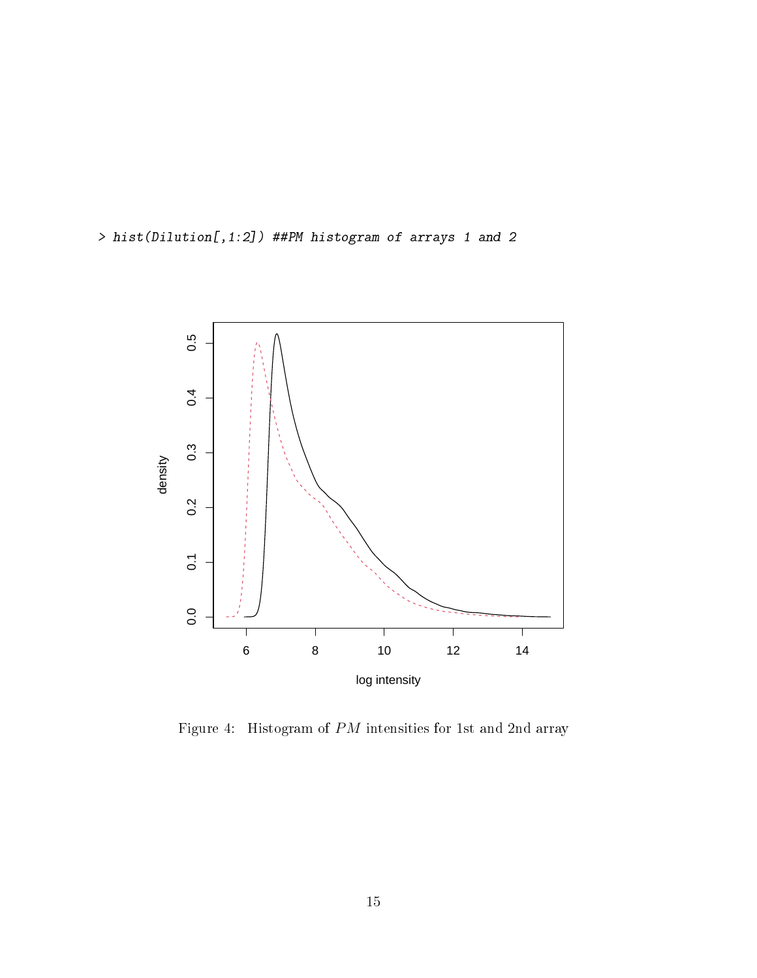> hist(Dilution[,1:2]) ##PM histogram of arrays 1 and 2



<span id="page-14-0"></span>Figure 4: Histogram of PM intensities for 1st and 2nd array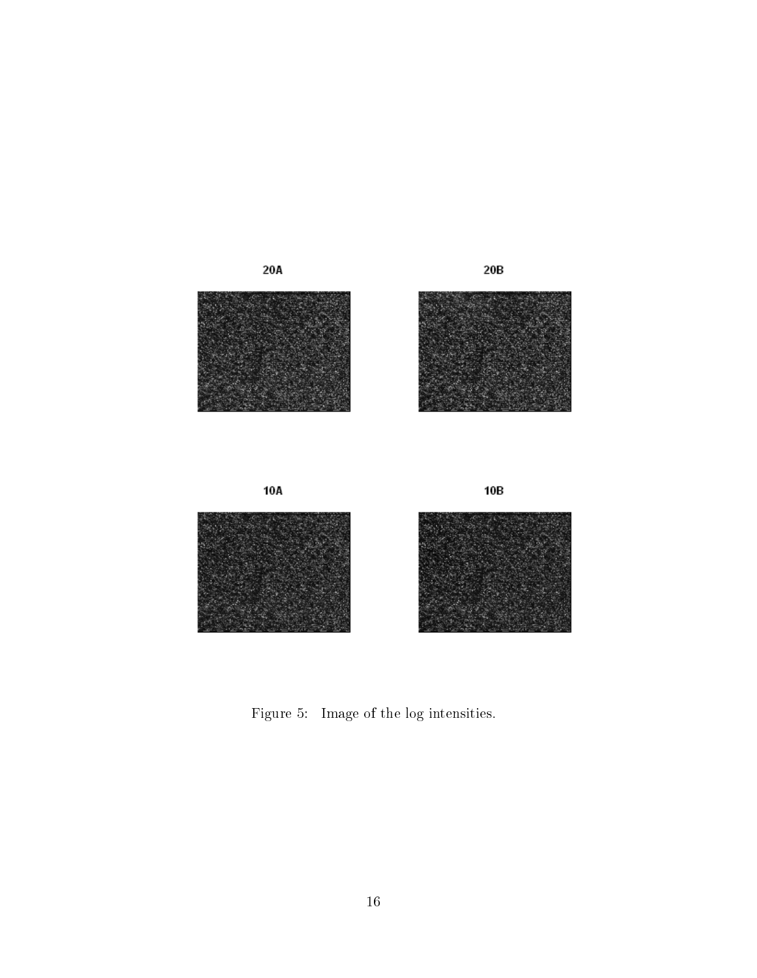

Figure 5: Image of the log intensities.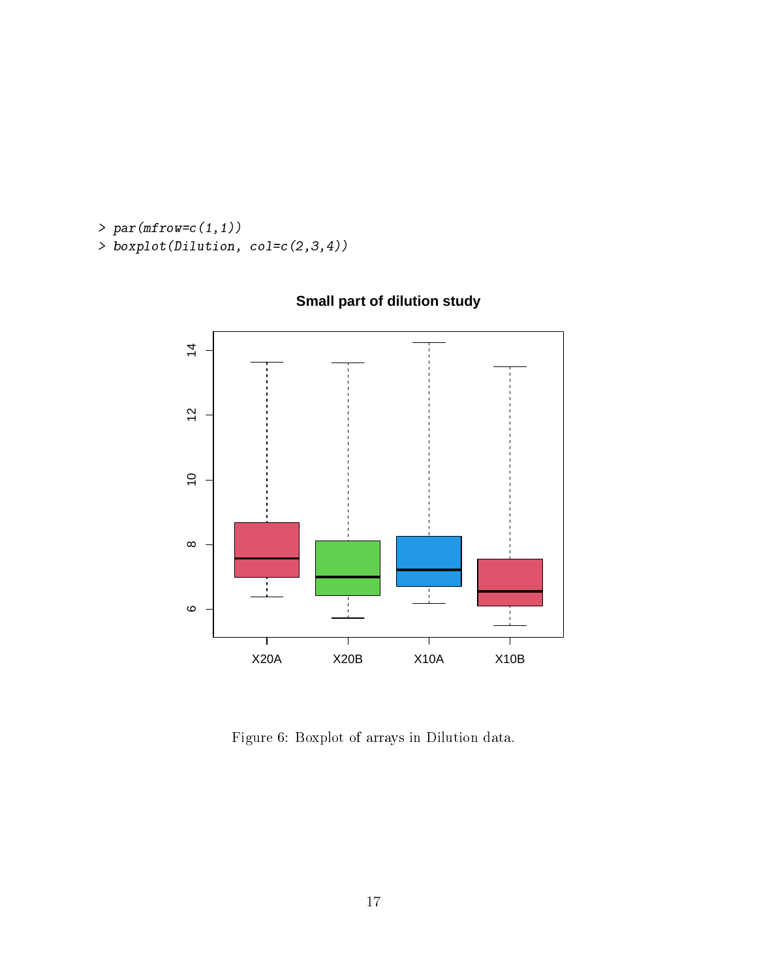>  $par(mfrow=c(1,1))$ > boxplot(Dilution, col=c(2,3,4))



## **Small part of dilution study**

Figure 6: Boxplot of arrays in Dilution data.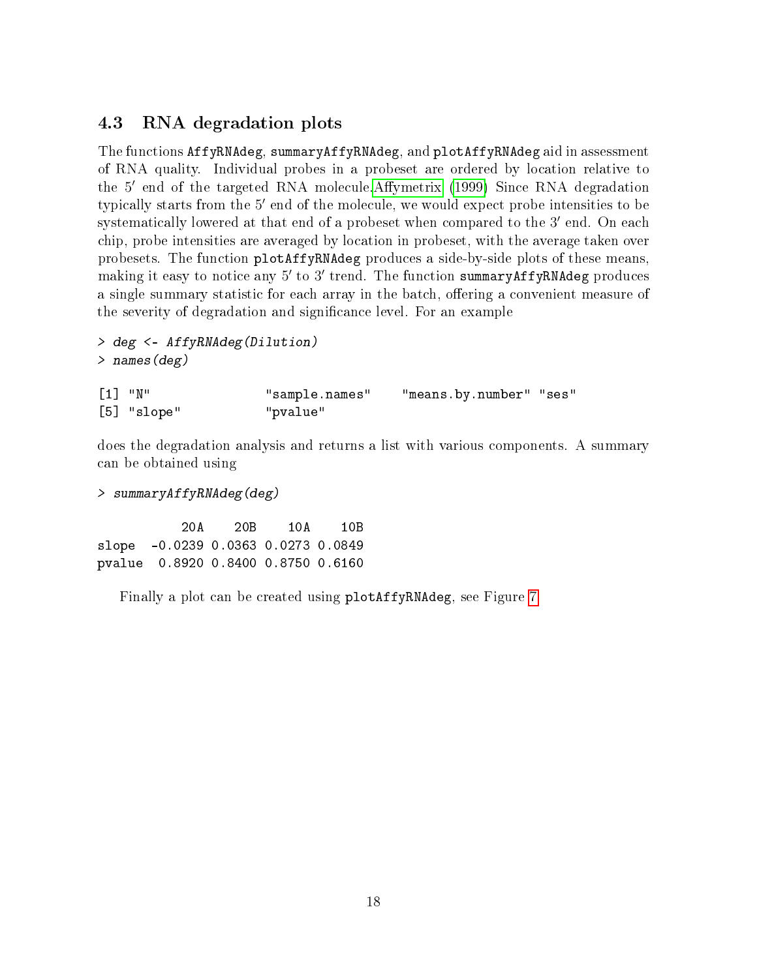### <span id="page-17-0"></span>4.3 RNA degradation plots

The functions AffyRNAdeg, summaryAffyRNAdeg, and plotAffyRNAdeg aid in assessment of RNA quality. Individual probes in a probeset are ordered by location relative to the 5' end of the targeted RNA molecule.Affymetrix [\(1999\)](#page-28-1) Since RNA degradation typically starts from the 5' end of the molecule, we would expect probe intensities to be systematically lowered at that end of a probeset when compared to the 3' end. On each chip, probe intensities are averaged by location in probeset, with the average taken over probesets. The function plotAffyRNAdeg produces a side-by-side plots of these means, making it easy to notice any 5' to 3' trend. The function summaryAffyRNAdeg produces a single summary statistic for each array in the batch, offering a convenient measure of the severity of degradation and significance level. For an example

> deg <- AffyRNAdeg(Dilution) > names(deg)

| $[1]$ "N"     | "sample.names" | "means.by.number" "ses" |  |
|---------------|----------------|-------------------------|--|
| $[5]$ "slope" | "pvalue"       |                         |  |

does the degradation analysis and returns a list with various components. A summary can be obtained using

```
> summaryAffyRNAdeg(deg)
```
20A 20B 10A 10B slope -0.0239 0.0363 0.0273 0.0849 pvalue 0.8920 0.8400 0.8750 0.6160

Finally a plot can be created using plotAffyRNAdeg, see Figure [7.](#page-18-0)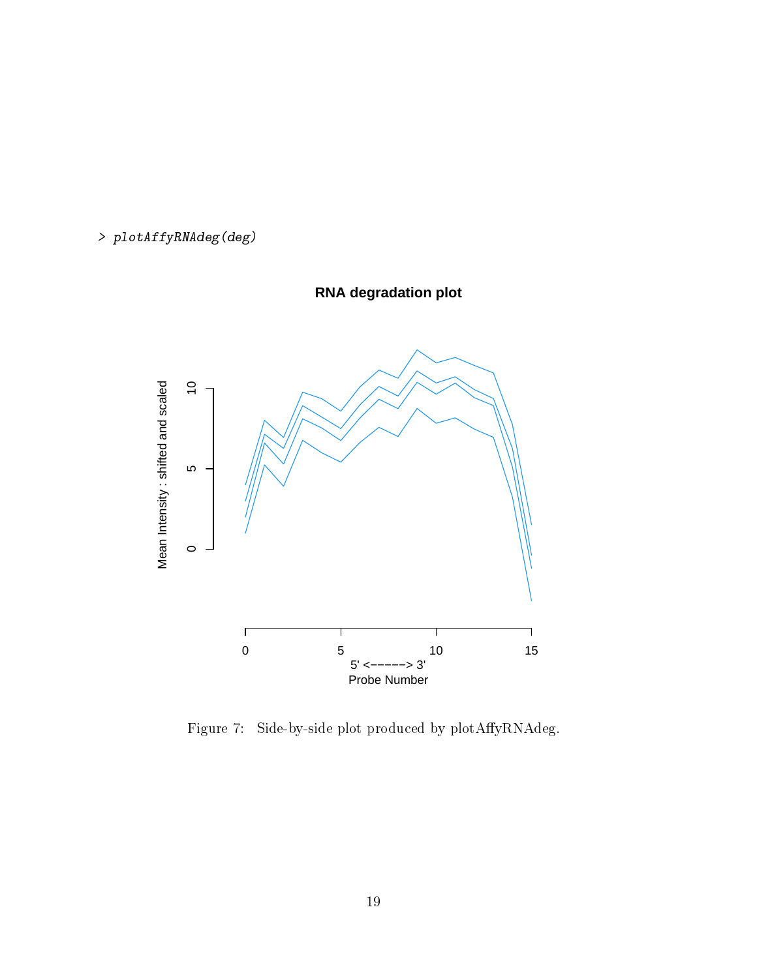



**RNA degradation plot**

<span id="page-18-0"></span>Figure 7: Side-by-side plot produced by plotAffyRNAdeg.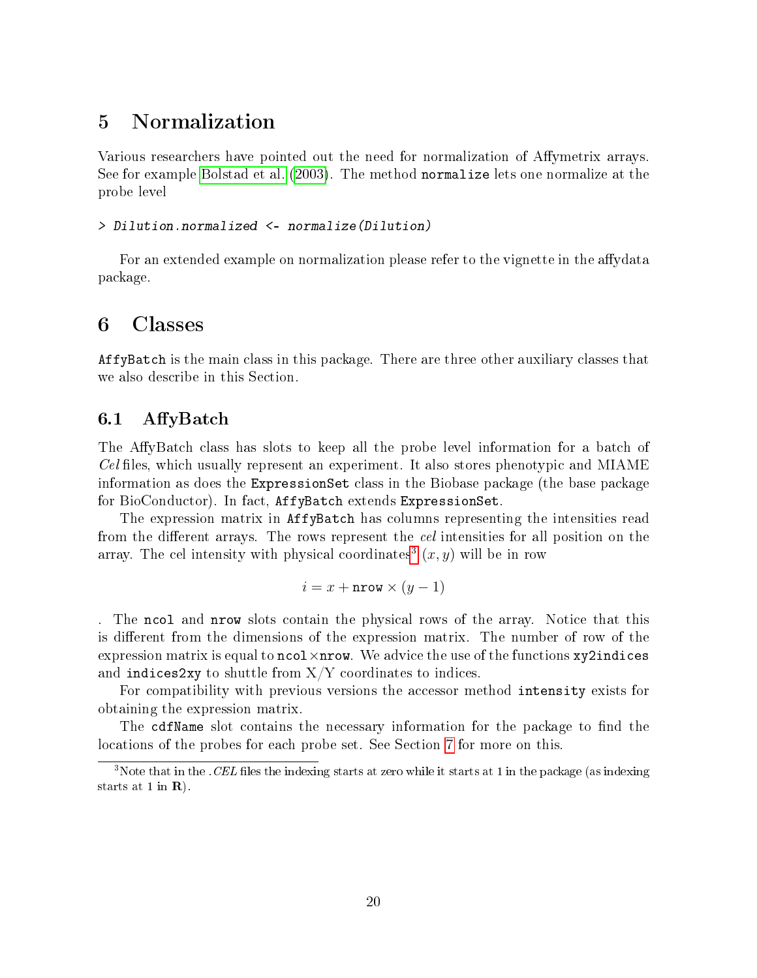## <span id="page-19-0"></span>5 Normalization

Various researchers have pointed out the need for normalization of Affymetrix arrays. See for example [Bolstad et al.](#page-28-6) [\(2003\)](#page-28-6). The method normalize lets one normalize at the probe level

#### > Dilution.normalized <- normalize(Dilution)

For an extended example on normalization please refer to the vignette in the affydata package.

## <span id="page-19-1"></span>6 Classes

AffyBatch is the main class in this package. There are three other auxiliary classes that we also describe in this Section.

### <span id="page-19-2"></span>6.1 AffyBatch

The AffyBatch class has slots to keep all the probe level information for a batch of  $Cell$  files, which usually represent an experiment. It also stores phenotypic and MIAME information as does the ExpressionSet class in the Biobase package (the base package for BioConductor). In fact, AffyBatch extends ExpressionSet.

The expression matrix in AffyBatch has columns representing the intensities read from the different arrays. The rows represent the *cel* intensities for all position on the array. The cel intensity with physical coordinates<sup>[3](#page-19-3)</sup>  $(x, y)$  will be in row

$$
i = x + \text{arrow} \times (y - 1)
$$

. The ncol and nrow slots contain the physical rows of the array. Notice that this is different from the dimensions of the expression matrix. The number of row of the expression matrix is equal to  $\texttt{ncol} \times \texttt{nrow}$ . We advice the use of the functions xy2indices and indices2xy to shuttle from  ${\rm X/Y}$  coordinates to indices.

For compatibility with previous versions the accessor method intensity exists for obtaining the expression matrix.

The cdfName slot contains the necessary information for the package to find the locations of the probes for each probe set. See Section [7](#page-21-0) for more on this.

<span id="page-19-3"></span> $3$ Note that in the .CEL files the indexing starts at zero while it starts at 1 in the package (as indexing starts at 1 in  $\mathbf{R}$ ).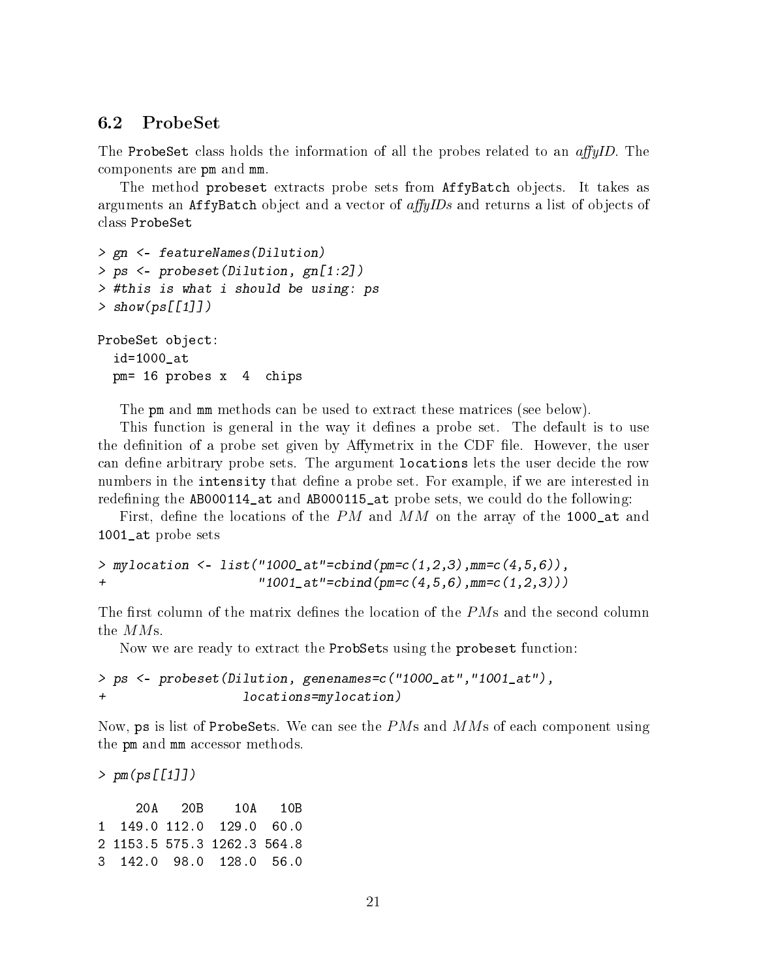### <span id="page-20-0"></span>6.2 ProbeSet

The ProbeSet class holds the information of all the probes related to an  $affyID$ . The components are pm and mm.

The method probeset extracts probe sets from AffyBatch objects. It takes as arguments an AffyBatch object and a vector of  $affuIDs$  and returns a list of objects of class ProbeSet

```
> gn <- featureNames(Dilution)
> ps <- probeset(Dilution, gn[1:2])
> #this is what i should be using: ps
> show(ps[[1]])
```

```
ProbeSet object:
  id=1000_at
```
pm= 16 probes x 4 chips

The pm and mm methods can be used to extract these matrices (see below).

This function is general in the way it defines a probe set. The default is to use the definition of a probe set given by Affymetrix in the CDF file. However, the user can define arbitrary probe sets. The argument locations lets the user decide the row numbers in the intensity that define a probe set. For example, if we are interested in redefining the AB000114\_at and AB000115\_at probe sets, we could do the following:

First, define the locations of the PM and MM on the array of the 1000<sub>-</sub> at and 1001\_at probe sets

```
> mylocation <- list("1000_at"=cbind(pm=c(1,2,3),mm=c(4,5,6)),
+ "1001_at"=cbind(pm=c(4,5,6),mm=c(1,2,3)))
```
The first column of the matrix defines the location of the  $P\overline{M}$ s and the second column the MMs.

Now we are ready to extract the ProbSets using the probeset function:

```
> ps <- probeset(Dilution, genenames=c("1000_at","1001_at"),
                   locations=mylocation)
```
Now, ps is list of ProbeSets. We can see the  $PMs$  and  $MMs$  of each component using the pm and mm accessor methods.

> pm(ps[[1]])

20A 20B 10A 10B 1 149.0 112.0 129.0 60.0 2 1153.5 575.3 1262.3 564.8 3 142.0 98.0 128.0 56.0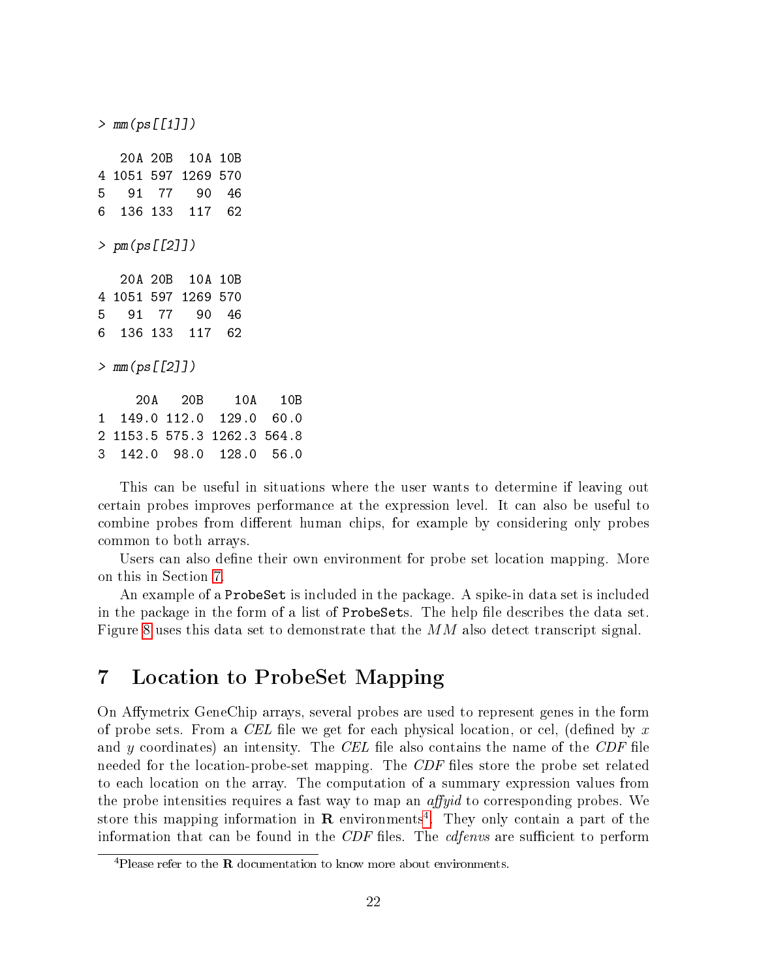> mm(ps[[1]]) 20A 20B 10A 10B 4 1051 597 1269 570 5 91 77 90 46 6 136 133 117 62 > pm(ps[[2]]) 20A 20B 10A 10B 4 1051 597 1269 570 5 91 77 90 46 6 136 133 117 62 > mm(ps[[2]]) 20A 20B 10A 10B 1 149.0 112.0 129.0 60.0 2 1153.5 575.3 1262.3 564.8 3 142.0 98.0 128.0 56.0

This can be useful in situations where the user wants to determine if leaving out certain probes improves performance at the expression level. It can also be useful to combine probes from different human chips, for example by considering only probes common to both arrays.

Users can also define their own environment for probe set location mapping. More on this in Section [7.](#page-21-0)

An example of a ProbeSet is included in the package. A spike-in data set is included in the package in the form of a list of ProbeSets. The help file describes the data set. Figure [8](#page-22-0) uses this data set to demonstrate that the  $MM$  also detect transcript signal.

## <span id="page-21-0"></span>7 Location to ProbeSet Mapping

On Affymetrix GeneChip arrays, several probes are used to represent genes in the form of probe sets. From a CEL file we get for each physical location, or cel, (defined by x and y coordinates) an intensity. The CEL file also contains the name of the CDF file needed for the location-probe-set mapping. The CDF files store the probe set related to each location on the array. The computation of a summary expression values from the probe intensities requires a fast way to map an  $affyid$  to corresponding probes. We store this mapping information in  $\bf R$  environments<sup>[4](#page-21-1)</sup>. They only contain a part of the information that can be found in the  $CDF$  files. The *edfenvs* are sufficient to perform

<span id="page-21-1"></span><sup>&</sup>lt;sup>4</sup>Please refer to the **R** documentation to know more about environments.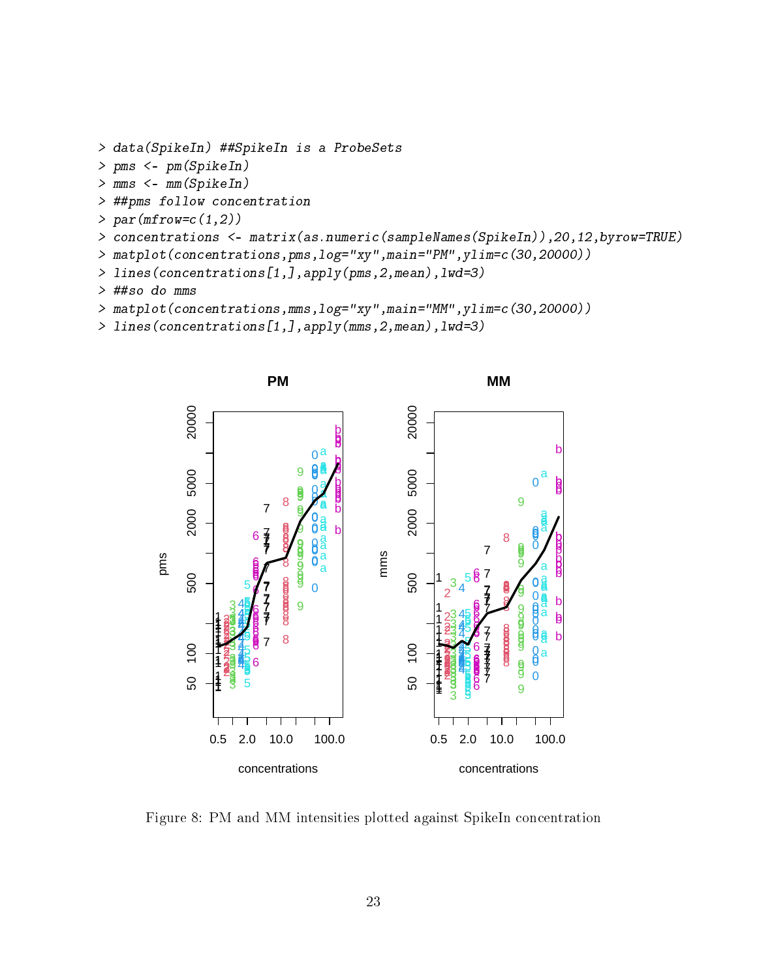```
> data(SpikeIn) ##SpikeIn is a ProbeSets
```
- > pms <- pm(SpikeIn)
- > mms <- mm(SpikeIn)
- > ##pms follow concentration
- $> par(mfrow=c(1,2))$
- > concentrations <- matrix(as.numeric(sampleNames(SpikeIn)),20,12,byrow=TRUE)
- > matplot(concentrations,pms,log="xy",main="PM",ylim=c(30,20000))
- > lines(concentrations[1,],apply(pms,2,mean),lwd=3)
- > ##so do mms
- > matplot(concentrations,mms,log="xy",main="MM",ylim=c(30,20000))
- > lines(concentrations[1,],apply(mms,2,mean),lwd=3)



<span id="page-22-0"></span>Figure 8: PM and MM intensities plotted against SpikeIn concentration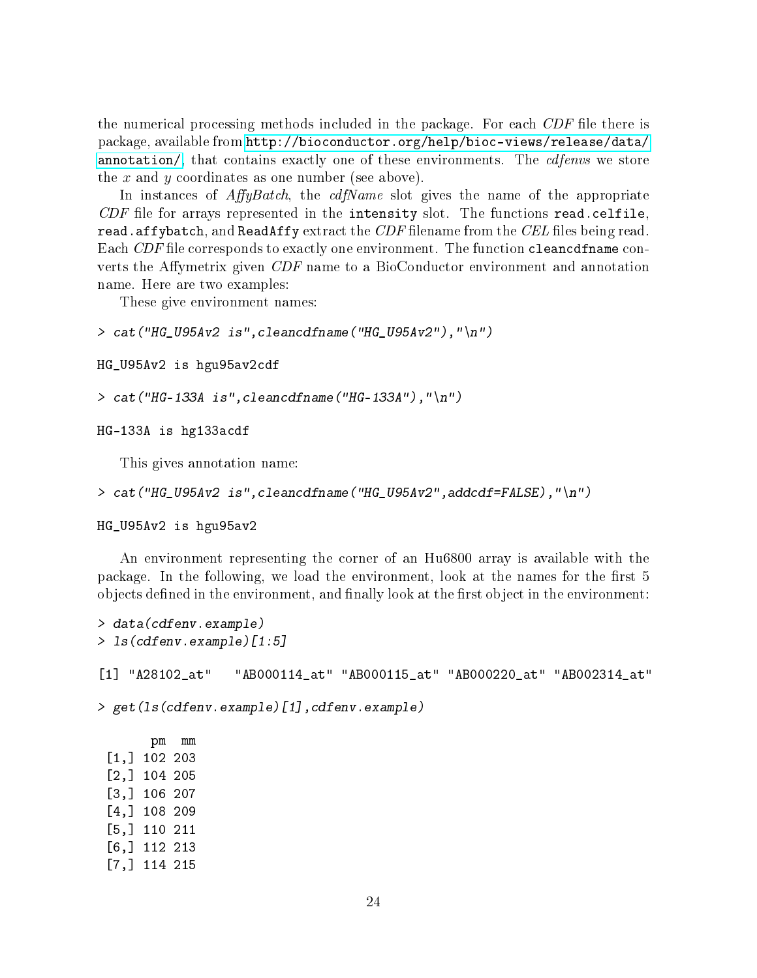the numerical processing methods included in the package. For each  $CDF$  file there is package, available from [http://bioconductor.org/help/bioc-views/release/data/](http://bioconductor.org/help/bioc-views/release/data/annotation/) [annotation/,](http://bioconductor.org/help/bioc-views/release/data/annotation/) that contains exactly one of these environments. The *cdfenvs* we store the x and y coordinates as one number (see above).

In instances of  $AffyBatch$ , the *cdfName* slot gives the name of the appropriate CDF file for arrays represented in the intensity slot. The functions read.celfile. read.affybatch, and ReadAffy extract the  $CDF$  filename from the  $CEL$  files being read. Each  $CDF$  file corresponds to exactly one environment. The function cleancdfname converts the Affymetrix given  $CDF$  name to a BioConductor environment and annotation name. Here are two examples:

These give environment names:

```
> cat('HG_USAv2 is'', cleancdfname('HG_USAv2"),''\n
```

```
HG_U95Av2 is hgu95av2cdf
```

```
> cat("HG-133A is", cleancdfname("HG-133A"),"\n")
```
HG-133A is hg133acdf

This gives annotation name:

```
> cat("HG_U95Av2 is",cleancdfname("HG_U95Av2",addcdf=FALSE),"\n")
```
HG\_U95Av2 is hgu95av2

An environment representing the corner of an Hu6800 array is available with the package. In the following, we load the environment, look at the names for the first 5 objects defined in the environment, and finally look at the first object in the environment:

```
> data(cdfenv.example)
> ls(cdfenv.example)[1:5]
[1] "A28102_at" "AB000114_at" "AB000115_at" "AB000220_at" "AB002314_at"
> get(ls(cdfenv.example)[1],cdfenv.example)
      pm mm
 [1,] 102 203
 [2,] 104 205
 [3,] 106 207
 [4,] 108 209
 [5,] 110 211
 [6,] 112 213
 [7,] 114 215
```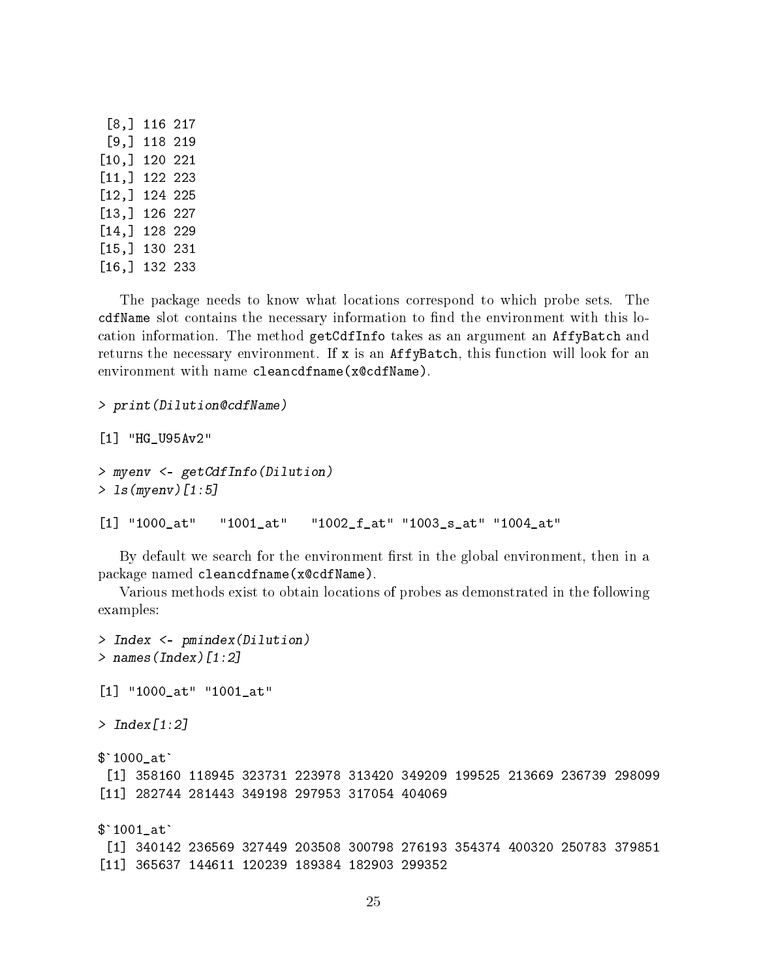| $\left[\begin{smallmatrix} 8 \end{smallmatrix}\right],$ | 116 | 217 |
|---------------------------------------------------------|-----|-----|
| $\left[\begin{smallmatrix} 9\end{smallmatrix}\right],$  | 118 | 219 |
| [10,                                                    | 120 | 221 |
| [11, ]                                                  | 122 | 223 |
| [12,]                                                   | 124 | 225 |
| [13,                                                    | 126 | 227 |
| [14,                                                    | 128 | 229 |
| [15,]                                                   | 130 | 231 |
| [16, ]                                                  | 132 | 233 |

The package needs to know what locations correspond to which probe sets. The cdfName slot contains the necessary information to find the environment with this location information. The method getCdfInfo takes as an argument an AffyBatch and returns the necessary environment. If  $x$  is an AffyBatch, this function will look for an environment with name cleancdfname(x@cdfName).

```
> print(Dilution@cdfName)
[1] "HG_U95Av2"
> myenv <- getCdfInfo(Dilution)
> ls(myenv)[1:5]
[1] "1000_at" "1001_at" "1002_f_at" "1003_s_at" "1004_at"
```
By default we search for the environment first in the global environment, then in a package named cleancdfname(x@cdfName).

Various methods exist to obtain locations of probes as demonstrated in the following examples:

```
> Index <- pmindex(Dilution)
> names(Index)[1:2]
[1] "1000_at" "1001_at"
> Index[1:2]
$'1000at'[1] 358160 118945 323731 223978 313420 349209 199525 213669 236739 298099
[11] 282744 281443 349198 297953 317054 404069
$`1001_at`
[1] 340142 236569 327449 203508 300798 276193 354374 400320 250783 379851
[11] 365637 144611 120239 189384 182903 299352
```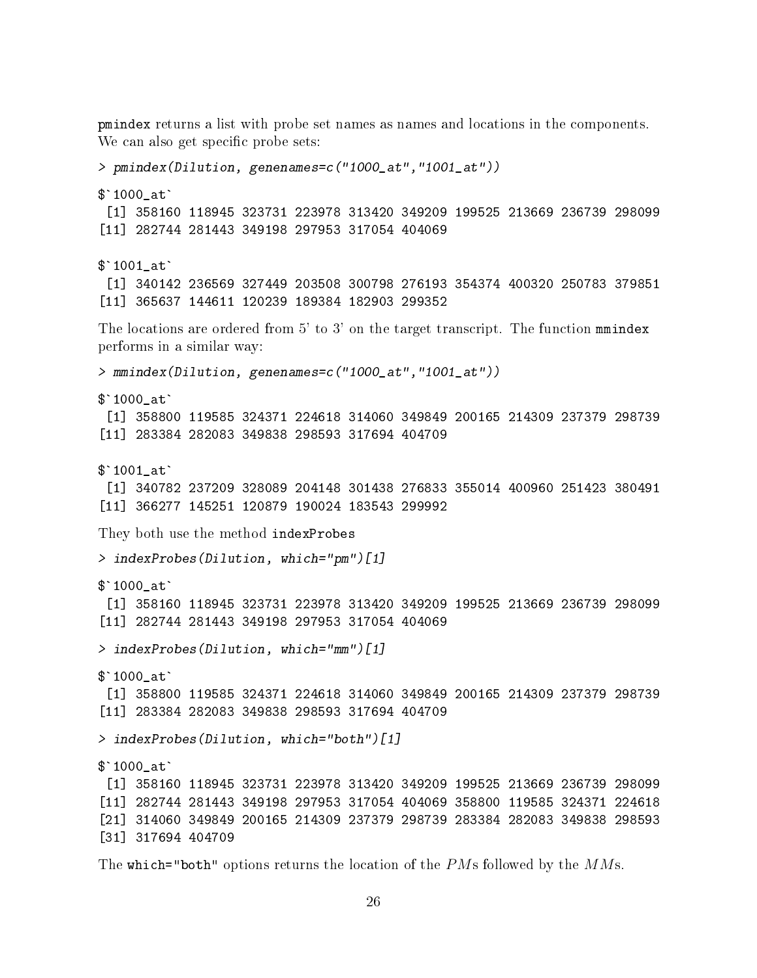pmindex returns a list with probe set names as names and locations in the components. We can also get specific probe sets: > pmindex(Dilution, genenames=c("1000\_at","1001\_at")) \$`1000\_at` [1] 358160 118945 323731 223978 313420 349209 199525 213669 236739 298099 [11] 282744 281443 349198 297953 317054 404069 \$`1001\_at` [1] 340142 236569 327449 203508 300798 276193 354374 400320 250783 379851 [11] 365637 144611 120239 189384 182903 299352 The locations are ordered from 5' to 3' on the target transcript. The function must be a performs in a similar way: > mmindex(Dilution, genenames=c("1000\_at","1001\_at")) \$`1000\_at` [1] 358800 119585 324371 224618 314060 349849 200165 214309 237379 298739 [11] 283384 282083 349838 298593 317694 404709 \$`1001\_at` [1] 340782 237209 328089 204148 301438 276833 355014 400960 251423 380491 [11] 366277 145251 120879 190024 183543 299992 They both use the method indexProbes > indexProbes(Dilution, which="pm")[1]  $$'1000at'$ [1] 358160 118945 323731 223978 313420 349209 199525 213669 236739 298099 [11] 282744 281443 349198 297953 317054 404069 > indexProbes(Dilution, which="mm")[1] \$`1000\_at` [1] 358800 119585 324371 224618 314060 349849 200165 214309 237379 298739 [11] 283384 282083 349838 298593 317694 404709 > indexProbes(Dilution, which="both")[1]  $$'1000at'$ [1] 358160 118945 323731 223978 313420 349209 199525 213669 236739 298099 [11] 282744 281443 349198 297953 317054 404069 358800 119585 324371 224618 [21] 314060 349849 200165 214309 237379 298739 283384 282083 349838 298593 [31] 317694 404709

The which="both" options returns the location of the  $PMs$  followed by the  $MMs$ .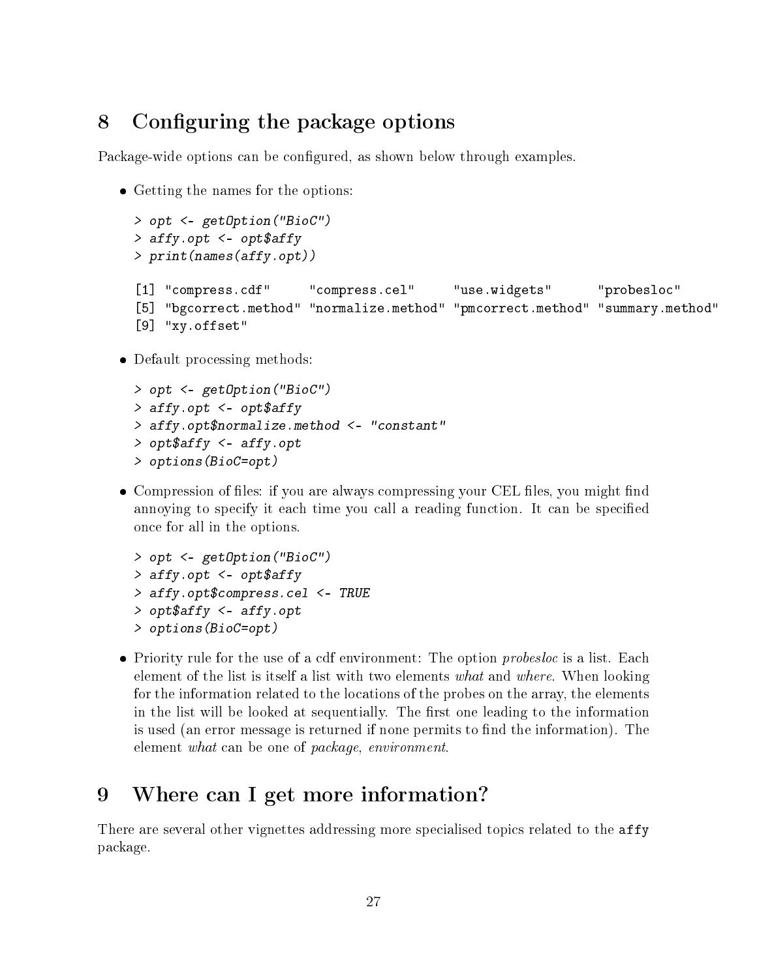## <span id="page-26-0"></span>8 Configuring the package options

Package-wide options can be configured, as shown below through examples.

Getting the names for the options:

```
> opt <- getOption("BioC")
> affy.opt <- opt$affy
> print(names(affy.opt))
[1] "compress.cdf" "compress.cel" "use.widgets" "probesloc"
[5] "bgcorrect.method" "normalize.method" "pmcorrect.method" "summary.method"
[9] "xy.offset"
```
Default processing methods:

```
> opt <- getOption("BioC")
> affy.opt <- opt$affy
> affy.opt$normalize.method <- "constant"
> opt$affy <- affy.opt
> options(BioC=opt)
```
• Compression of files: if you are always compressing your CEL files, you might find annoying to specify it each time you call a reading function. It can be specified once for all in the options.

```
> opt <- getOption("BioC")
> affy.opt <- opt$affy
> affy.opt$compress.cel <- TRUE
> opt$affy <- affy.opt
> options(BioC=opt)
```
 $\bullet$  Priority rule for the use of a cdf environment: The option *probesloc* is a list. Each element of the list is itself a list with two elements what and where. When looking for the information related to the locations of the probes on the array, the elements in the list will be looked at sequentially. The first one leading to the information is used (an error message is returned if none permits to find the information). The element what can be one of package, environment.

## <span id="page-26-1"></span>9 Where can I get more information?

There are several other vignettes addressing more specialised topics related to the affy package.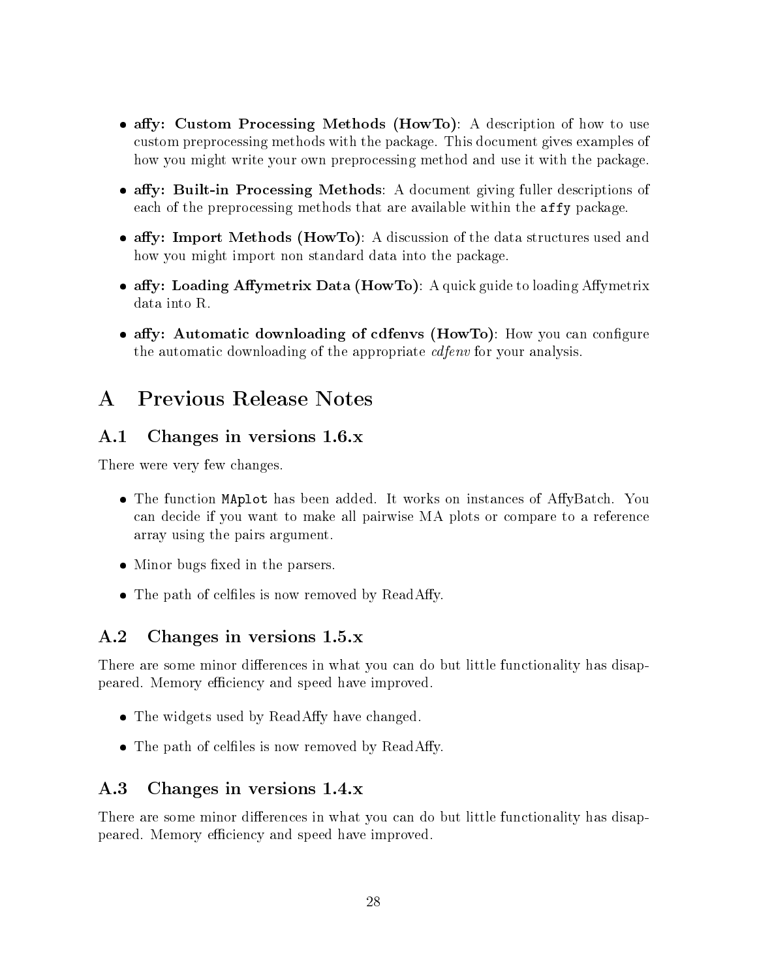- affy: Custom Processing Methods (HowTo): A description of how to use custom preprocessing methods with the package. This document gives examples of how you might write your own preprocessing method and use it with the package.
- affy: Built-in Processing Methods: A document giving fuller descriptions of each of the preprocessing methods that are available within the affy package.
- affy: Import Methods (HowTo): A discussion of the data structures used and how you might import non standard data into the package.
- affy: Loading Affymetrix Data (HowTo): A quick guide to loading Affymetrix data into R.
- affy: Automatic downloading of cdfenvs (HowTo): How you can configure the automatic downloading of the appropriate *cdfenv* for your analysis.

## <span id="page-27-0"></span>A Previous Release Notes

## <span id="page-27-1"></span>A.1 Changes in versions 1.6.x

There were very few changes.

- The function MAplot has been added. It works on instances of AffyBatch. You can decide if you want to make all pairwise MA plots or compare to a reference array using the pairs argument.
- Minor bugs fixed in the parsers.
- The path of celfiles is now removed by ReadAffy.

## <span id="page-27-2"></span>A.2 Changes in versions 1.5.x

There are some minor differences in what you can do but little functionality has disappeared. Memory efficiency and speed have improved.

- The widgets used by ReadAffy have changed.
- The path of celfiles is now removed by ReadAffy.

## <span id="page-27-3"></span>A.3 Changes in versions 1.4.x

There are some minor differences in what you can do but little functionality has disappeared. Memory efficiency and speed have improved.